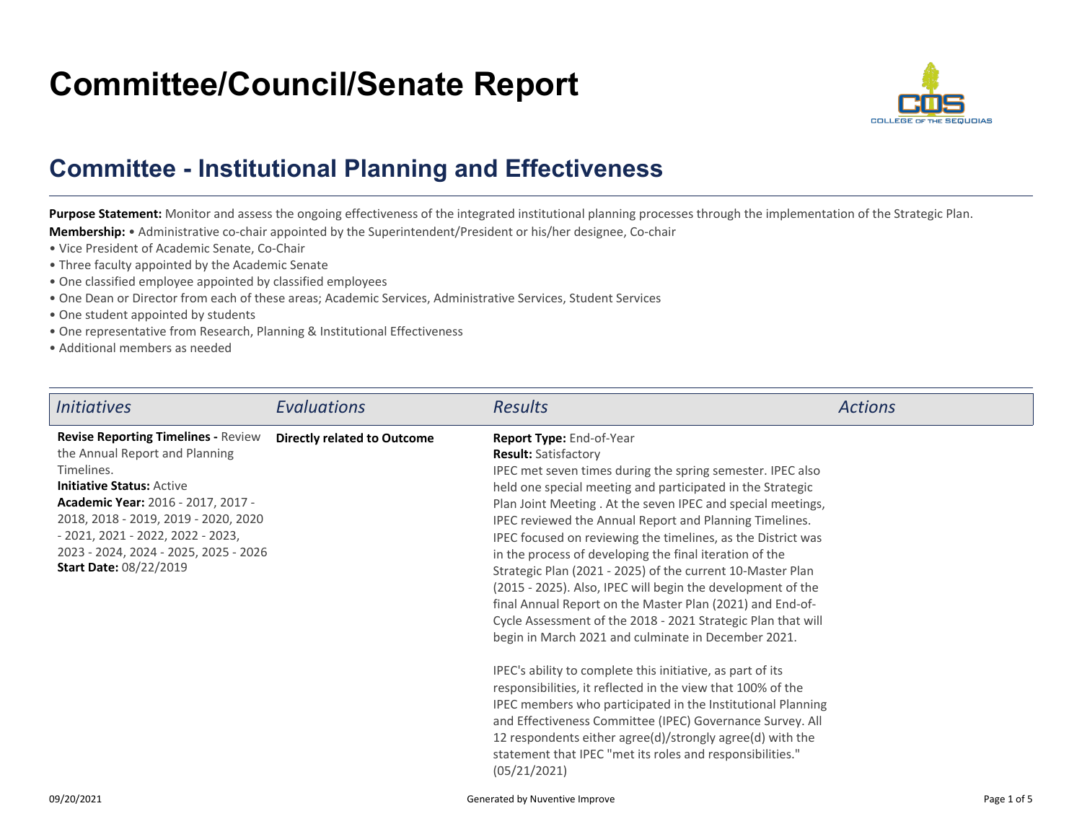## **Committee/Council/Senate Report**



## **Committee - Institutional Planning and Effectiveness**

Purpose Statement: Monitor and assess the ongoing effectiveness of the integrated institutional planning processes through the implementation of the Strategic Plan. **Membership:** • Administrative co-chair appointed by the Superintendent/President or his/her designee, Co-chair

- Vice President of Academic Senate, Co-Chair
- Three faculty appointed by the Academic Senate
- One classified employee appointed by classified employees
- One Dean or Director from each of these areas; Academic Services, Administrative Services, Student Services
- One student appointed by students
- One representative from Research, Planning & Institutional Effectiveness
- Additional members as needed

| <i>Initiatives</i>                                                                                                                                                                                                                                                                                                                  | Evaluations                        | <b>Results</b>                                                                                                                                                                                                                                                                                                                                                                                                                                                                                                                                                                                                                                                                                                                                                                                                                                                                                                                                                                                                                                                                                                                                                | <b>Actions</b> |
|-------------------------------------------------------------------------------------------------------------------------------------------------------------------------------------------------------------------------------------------------------------------------------------------------------------------------------------|------------------------------------|---------------------------------------------------------------------------------------------------------------------------------------------------------------------------------------------------------------------------------------------------------------------------------------------------------------------------------------------------------------------------------------------------------------------------------------------------------------------------------------------------------------------------------------------------------------------------------------------------------------------------------------------------------------------------------------------------------------------------------------------------------------------------------------------------------------------------------------------------------------------------------------------------------------------------------------------------------------------------------------------------------------------------------------------------------------------------------------------------------------------------------------------------------------|----------------|
| <b>Revise Reporting Timelines - Review</b><br>the Annual Report and Planning<br>Timelines.<br><b>Initiative Status: Active</b><br><b>Academic Year: 2016 - 2017, 2017 -</b><br>2018, 2018 - 2019, 2019 - 2020, 2020<br>$-2021, 2021 - 2022, 2022 - 2023,$<br>2023 - 2024, 2024 - 2025, 2025 - 2026<br><b>Start Date: 08/22/2019</b> | <b>Directly related to Outcome</b> | Report Type: End-of-Year<br><b>Result: Satisfactory</b><br>IPEC met seven times during the spring semester. IPEC also<br>held one special meeting and participated in the Strategic<br>Plan Joint Meeting . At the seven IPEC and special meetings,<br>IPEC reviewed the Annual Report and Planning Timelines.<br>IPEC focused on reviewing the timelines, as the District was<br>in the process of developing the final iteration of the<br>Strategic Plan (2021 - 2025) of the current 10-Master Plan<br>(2015 - 2025). Also, IPEC will begin the development of the<br>final Annual Report on the Master Plan (2021) and End-of-<br>Cycle Assessment of the 2018 - 2021 Strategic Plan that will<br>begin in March 2021 and culminate in December 2021.<br>IPEC's ability to complete this initiative, as part of its<br>responsibilities, it reflected in the view that 100% of the<br>IPEC members who participated in the Institutional Planning<br>and Effectiveness Committee (IPEC) Governance Survey. All<br>12 respondents either agree(d)/strongly agree(d) with the<br>statement that IPEC "met its roles and responsibilities."<br>(05/21/2021) |                |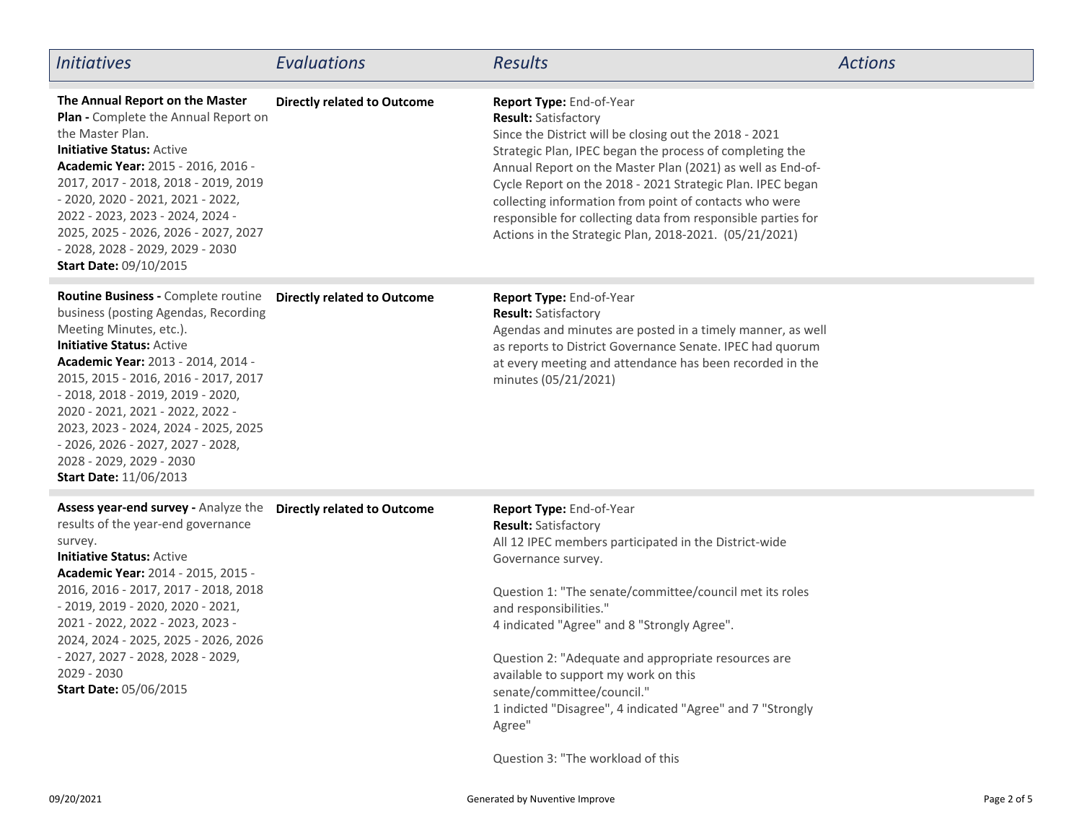| <b>Initiatives</b>                                                                                                                                                                                                                                                                                                                                                                                                                           | Evaluations                        | <b>Results</b>                                                                                                                                                                                                                                                                                                                                                                                                                                                                                                       | <b>Actions</b> |
|----------------------------------------------------------------------------------------------------------------------------------------------------------------------------------------------------------------------------------------------------------------------------------------------------------------------------------------------------------------------------------------------------------------------------------------------|------------------------------------|----------------------------------------------------------------------------------------------------------------------------------------------------------------------------------------------------------------------------------------------------------------------------------------------------------------------------------------------------------------------------------------------------------------------------------------------------------------------------------------------------------------------|----------------|
| The Annual Report on the Master<br>Plan - Complete the Annual Report on<br>the Master Plan.<br><b>Initiative Status: Active</b><br>Academic Year: 2015 - 2016, 2016 -<br>2017, 2017 - 2018, 2018 - 2019, 2019<br>$-2020, 2020 - 2021, 2021 - 2022,$<br>2022 - 2023, 2023 - 2024, 2024 -<br>2025, 2025 - 2026, 2026 - 2027, 2027<br>- 2028, 2028 - 2029, 2029 - 2030<br><b>Start Date: 09/10/2015</b>                                         | <b>Directly related to Outcome</b> | Report Type: End-of-Year<br><b>Result: Satisfactory</b><br>Since the District will be closing out the 2018 - 2021<br>Strategic Plan, IPEC began the process of completing the<br>Annual Report on the Master Plan (2021) as well as End-of-<br>Cycle Report on the 2018 - 2021 Strategic Plan. IPEC began<br>collecting information from point of contacts who were<br>responsible for collecting data from responsible parties for<br>Actions in the Strategic Plan, 2018-2021. (05/21/2021)                        |                |
| Routine Business - Complete routine<br>business (posting Agendas, Recording<br>Meeting Minutes, etc.).<br><b>Initiative Status: Active</b><br>Academic Year: 2013 - 2014, 2014 -<br>2015, 2015 - 2016, 2016 - 2017, 2017<br>- 2018, 2018 - 2019, 2019 - 2020,<br>2020 - 2021, 2021 - 2022, 2022 -<br>2023, 2023 - 2024, 2024 - 2025, 2025<br>$-2026, 2026 - 2027, 2027 - 2028,$<br>2028 - 2029, 2029 - 2030<br><b>Start Date: 11/06/2013</b> | <b>Directly related to Outcome</b> | Report Type: End-of-Year<br><b>Result: Satisfactory</b><br>Agendas and minutes are posted in a timely manner, as well<br>as reports to District Governance Senate. IPEC had quorum<br>at every meeting and attendance has been recorded in the<br>minutes (05/21/2021)                                                                                                                                                                                                                                               |                |
| Assess year-end survey - Analyze the<br>results of the year-end governance<br>survey.<br><b>Initiative Status: Active</b><br>Academic Year: 2014 - 2015, 2015 -<br>2016, 2016 - 2017, 2017 - 2018, 2018<br>$-2019, 2019 - 2020, 2020 - 2021,$<br>2021 - 2022, 2022 - 2023, 2023 -<br>2024, 2024 - 2025, 2025 - 2026, 2026<br>- 2027, 2027 - 2028, 2028 - 2029,<br>2029 - 2030<br><b>Start Date: 05/06/2015</b>                               | <b>Directly related to Outcome</b> | Report Type: End-of-Year<br><b>Result: Satisfactory</b><br>All 12 IPEC members participated in the District-wide<br>Governance survey.<br>Question 1: "The senate/committee/council met its roles<br>and responsibilities."<br>4 indicated "Agree" and 8 "Strongly Agree".<br>Question 2: "Adequate and appropriate resources are<br>available to support my work on this<br>senate/committee/council."<br>1 indicted "Disagree", 4 indicated "Agree" and 7 "Strongly<br>Agree"<br>Question 3: "The workload of this |                |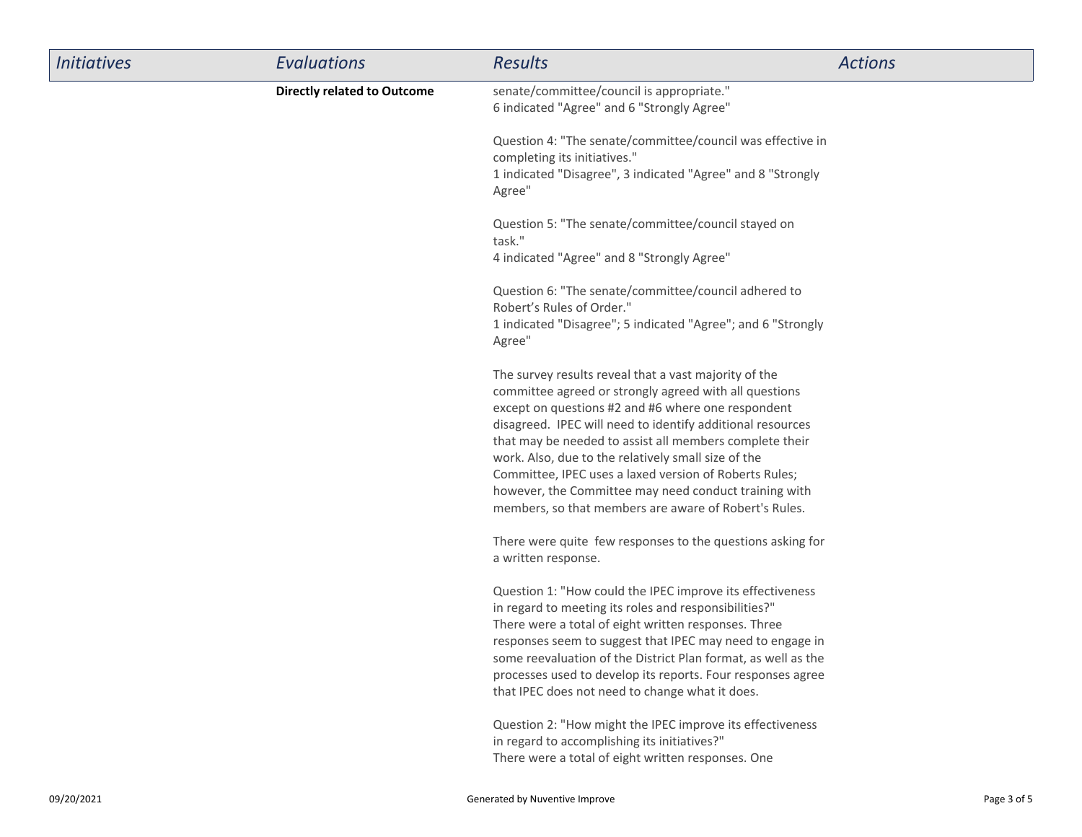| <b>Initiatives</b> | Evaluations                        | <b>Results</b>                                                                                                                                                                                                                                                                                                                                                                                                                                                                                                                    | <b>Actions</b> |
|--------------------|------------------------------------|-----------------------------------------------------------------------------------------------------------------------------------------------------------------------------------------------------------------------------------------------------------------------------------------------------------------------------------------------------------------------------------------------------------------------------------------------------------------------------------------------------------------------------------|----------------|
|                    | <b>Directly related to Outcome</b> | senate/committee/council is appropriate."<br>6 indicated "Agree" and 6 "Strongly Agree"                                                                                                                                                                                                                                                                                                                                                                                                                                           |                |
|                    |                                    | Question 4: "The senate/committee/council was effective in<br>completing its initiatives."<br>1 indicated "Disagree", 3 indicated "Agree" and 8 "Strongly<br>Agree"                                                                                                                                                                                                                                                                                                                                                               |                |
|                    |                                    | Question 5: "The senate/committee/council stayed on<br>task."<br>4 indicated "Agree" and 8 "Strongly Agree"                                                                                                                                                                                                                                                                                                                                                                                                                       |                |
|                    |                                    | Question 6: "The senate/committee/council adhered to<br>Robert's Rules of Order."<br>1 indicated "Disagree"; 5 indicated "Agree"; and 6 "Strongly<br>Agree"                                                                                                                                                                                                                                                                                                                                                                       |                |
|                    |                                    | The survey results reveal that a vast majority of the<br>committee agreed or strongly agreed with all questions<br>except on questions #2 and #6 where one respondent<br>disagreed. IPEC will need to identify additional resources<br>that may be needed to assist all members complete their<br>work. Also, due to the relatively small size of the<br>Committee, IPEC uses a laxed version of Roberts Rules;<br>however, the Committee may need conduct training with<br>members, so that members are aware of Robert's Rules. |                |
|                    |                                    | There were quite few responses to the questions asking for<br>a written response.                                                                                                                                                                                                                                                                                                                                                                                                                                                 |                |
|                    |                                    | Question 1: "How could the IPEC improve its effectiveness<br>in regard to meeting its roles and responsibilities?"<br>There were a total of eight written responses. Three<br>responses seem to suggest that IPEC may need to engage in<br>some reevaluation of the District Plan format, as well as the<br>processes used to develop its reports. Four responses agree<br>that IPEC does not need to change what it does.                                                                                                        |                |
|                    |                                    | Question 2: "How might the IPEC improve its effectiveness<br>in regard to accomplishing its initiatives?"<br>There were a total of eight written responses. One                                                                                                                                                                                                                                                                                                                                                                   |                |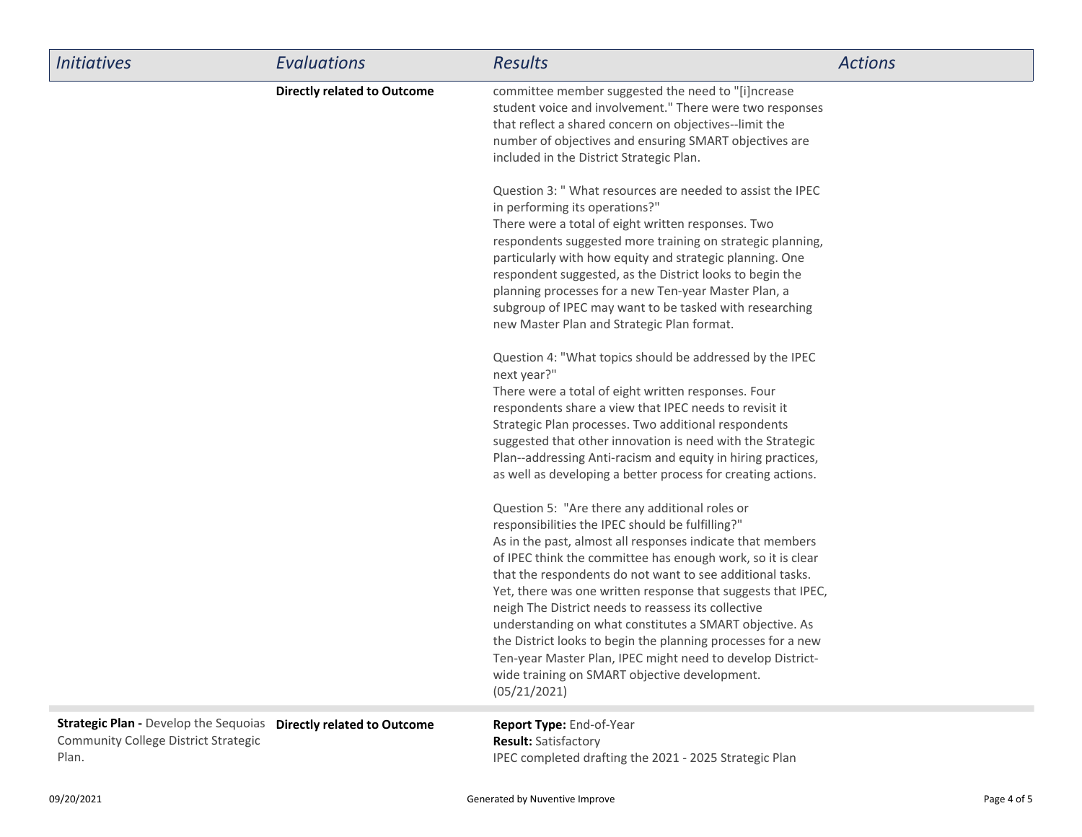| <b>Initiatives</b>                                                                                       | Evaluations                        | <b>Results</b>                                                                                                                                                                                                                                                                                                                                                                                                                                                                                                                                                                                                                                                                | <b>Actions</b> |
|----------------------------------------------------------------------------------------------------------|------------------------------------|-------------------------------------------------------------------------------------------------------------------------------------------------------------------------------------------------------------------------------------------------------------------------------------------------------------------------------------------------------------------------------------------------------------------------------------------------------------------------------------------------------------------------------------------------------------------------------------------------------------------------------------------------------------------------------|----------------|
|                                                                                                          | <b>Directly related to Outcome</b> | committee member suggested the need to "[i]ncrease<br>student voice and involvement." There were two responses<br>that reflect a shared concern on objectives--limit the<br>number of objectives and ensuring SMART objectives are<br>included in the District Strategic Plan.                                                                                                                                                                                                                                                                                                                                                                                                |                |
|                                                                                                          |                                    | Question 3: " What resources are needed to assist the IPEC<br>in performing its operations?"<br>There were a total of eight written responses. Two<br>respondents suggested more training on strategic planning,<br>particularly with how equity and strategic planning. One<br>respondent suggested, as the District looks to begin the<br>planning processes for a new Ten-year Master Plan, a<br>subgroup of IPEC may want to be tasked with researching<br>new Master Plan and Strategic Plan format.                                                                                                                                                                     |                |
|                                                                                                          |                                    | Question 4: "What topics should be addressed by the IPEC<br>next year?"<br>There were a total of eight written responses. Four<br>respondents share a view that IPEC needs to revisit it<br>Strategic Plan processes. Two additional respondents<br>suggested that other innovation is need with the Strategic<br>Plan--addressing Anti-racism and equity in hiring practices,<br>as well as developing a better process for creating actions.                                                                                                                                                                                                                                |                |
|                                                                                                          |                                    | Question 5: "Are there any additional roles or<br>responsibilities the IPEC should be fulfilling?"<br>As in the past, almost all responses indicate that members<br>of IPEC think the committee has enough work, so it is clear<br>that the respondents do not want to see additional tasks.<br>Yet, there was one written response that suggests that IPEC,<br>neigh The District needs to reassess its collective<br>understanding on what constitutes a SMART objective. As<br>the District looks to begin the planning processes for a new<br>Ten-year Master Plan, IPEC might need to develop District-<br>wide training on SMART objective development.<br>(05/21/2021) |                |
| Strategic Plan - Develop the Sequoias Directly related to Outcome<br>and the Calledge Block Charles of a |                                    | Report Type: End-of-Year                                                                                                                                                                                                                                                                                                                                                                                                                                                                                                                                                                                                                                                      |                |

Community College District StrategicPlan.

IPEC completed drafting the 2021 - 2025 Strategic Plan **Result:** Satisfactory